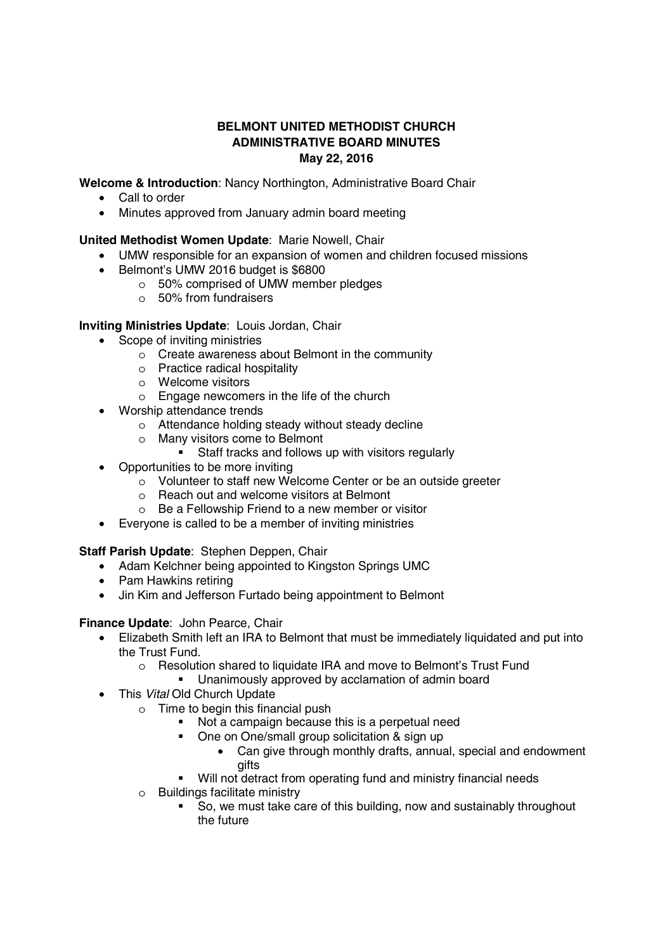# **BELMONT UNITED METHODIST CHURCH ADMINISTRATIVE BOARD MINUTES May 22, 2016**

**Welcome & Introduction**: Nancy Northington, Administrative Board Chair

- Call to order
- Minutes approved from January admin board meeting

# **United Methodist Women Update**: Marie Nowell, Chair

- UMW responsible for an expansion of women and children focused missions
- y Belmont's UMW 2016 budget is \$6800
	- o 50% comprised of UMW member pledges
	- o 50% from fundraisers

### **Inviting Ministries Update**: Louis Jordan, Chair

- Scope of inviting ministries
	- o Create awareness about Belmont in the community
	- o Practice radical hospitality
	- o Welcome visitors
	- o Engage newcomers in the life of the church
- Worship attendance trends
	- o Attendance holding steady without steady decline
	- o Many visitors come to Belmont<br>■ Staff tracks and follows
		- Staff tracks and follows up with visitors regularly
- $\bullet$  Opportunities to be more inviting
	- o Volunteer to staff new Welcome Center or be an outside greeter
	- o Reach out and welcome visitors at Belmont
	- o Be a Fellowship Friend to a new member or visitor
- Everyone is called to be a member of inviting ministries

### **Staff Parish Update**: Stephen Deppen, Chair

- Adam Kelchner being appointed to Kingston Springs UMC
- Pam Hawkins retiring
- Jin Kim and Jefferson Furtado being appointment to Belmont

### **Finance Update**: John Pearce, Chair

- Elizabeth Smith left an IRA to Belmont that must be immediately liquidated and put into the Trust Fund.
	- o Resolution shared to liquidate IRA and move to Belmont's Trust Fund
		- Unanimously approved by acclamation of admin board
- This *Vital* Old Church Update
	- o Time to begin this financial push
		- Not a campaign because this is a perpetual need
		- One on One/small group solicitation & sign up
			- Can give through monthly drafts, annual, special and endowment gifts
		- Will not detract from operating fund and ministry financial needs
	- o Buildings facilitate ministry
		- So, we must take care of this building, now and sustainably throughout the future